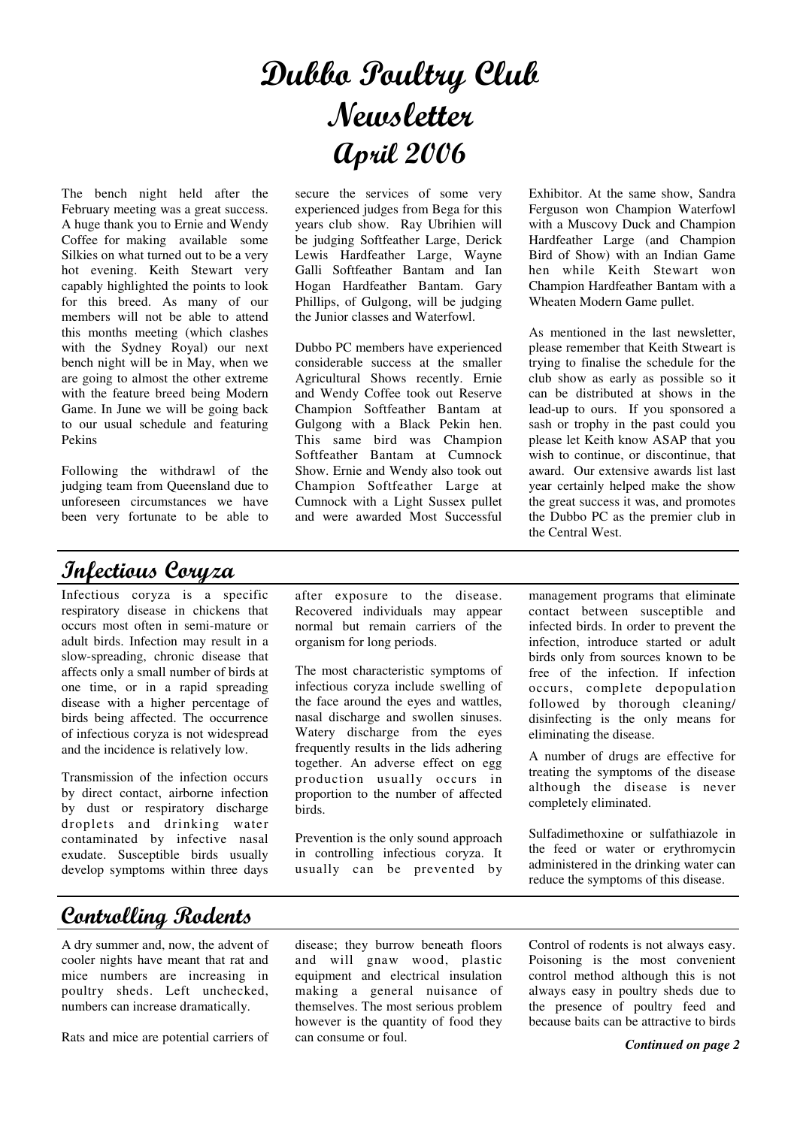# Dubbo Poultry Club Newsletter April 2006

The bench night held after the February meeting was a great success. A huge thank you to Ernie and Wendy Coffee for making available some Silkies on what turned out to be a very hot evening. Keith Stewart very capably highlighted the points to look for this breed. As many of our members will not be able to attend this months meeting (which clashes with the Sydney Royal) our next bench night will be in May, when we are going to almost the other extreme with the feature breed being Modern Game. In June we will be going back to our usual schedule and featuring Pekins

Following the withdrawl of the judging team from Queensland due to unforeseen circumstances we have been very fortunate to be able to

### Infectious Coryza

Infectious coryza is a specific respiratory disease in chickens that occurs most often in semi-mature or adult birds. Infection may result in a slow-spreading, chronic disease that affects only a small number of birds at one time, or in a rapid spreading disease with a higher percentage of birds being affected. The occurrence of infectious coryza is not widespread and the incidence is relatively low.

Transmission of the infection occurs by direct contact, airborne infection by dust or respiratory discharge droplets and drinking water contaminated by infective nasal exudate. Susceptible birds usually develop symptoms within three days secure the services of some very experienced judges from Bega for this years club show. Ray Ubrihien will be judging Softfeather Large, Derick Lewis Hardfeather Large, Wayne Galli Softfeather Bantam and Ian Hogan Hardfeather Bantam. Gary Phillips, of Gulgong, will be judging the Junior classes and Waterfowl.

Dubbo PC members have experienced considerable success at the smaller Agricultural Shows recently. Ernie and Wendy Coffee took out Reserve Champion Softfeather Bantam at Gulgong with a Black Pekin hen. This same bird was Champion Softfeather Bantam at Cumnock Show. Ernie and Wendy also took out Champion Softfeather Large at Cumnock with a Light Sussex pullet and were awarded Most Successful

Exhibitor. At the same show, Sandra Ferguson won Champion Waterfowl with a Muscovy Duck and Champion Hardfeather Large (and Champion Bird of Show) with an Indian Game hen while Keith Stewart won Champion Hardfeather Bantam with a Wheaten Modern Game pullet.

As mentioned in the last newsletter, please remember that Keith Stweart is trying to finalise the schedule for the club show as early as possible so it can be distributed at shows in the lead-up to ours. If you sponsored a sash or trophy in the past could you please let Keith know ASAP that you wish to continue, or discontinue, that award. Our extensive awards list last year certainly helped make the show the great success it was, and promotes the Dubbo PC as the premier club in the Central West.

after exposure to the disease. Recovered individuals may appear normal but remain carriers of the organism for long periods.

The most characteristic symptoms of infectious coryza include swelling of the face around the eyes and wattles, nasal discharge and swollen sinuses. Watery discharge from the eyes frequently results in the lids adhering together. An adverse effect on egg production usually occurs in proportion to the number of affected birds.

Prevention is the only sound approach in controlling infectious coryza. It usually can be prevented by management programs that eliminate contact between susceptible and infected birds. In order to prevent the infection, introduce started or adult birds only from sources known to be free of the infection. If infection occurs, complete depopulation followed by thorough cleaning/ disinfecting is the only means for eliminating the disease.

A number of drugs are effective for treating the symptoms of the disease although the disease is never completely eliminated.

Sulfadimethoxine or sulfathiazole in the feed or water or erythromycin administered in the drinking water can reduce the symptoms of this disease.

### **Controlling Rodents**

A dry summer and, now, the advent of cooler nights have meant that rat and mice numbers are increasing in poultry sheds. Left unchecked, numbers can increase dramatically.

Rats and mice are potential carriers of

disease; they burrow beneath floors and will gnaw wood, plastic equipment and electrical insulation making a general nuisance of themselves. The most serious problem however is the quantity of food they can consume or foul.

Control of rodents is not always easy. Poisoning is the most convenient control method although this is not always easy in poultry sheds due to the presence of poultry feed and because baits can be attractive to birds